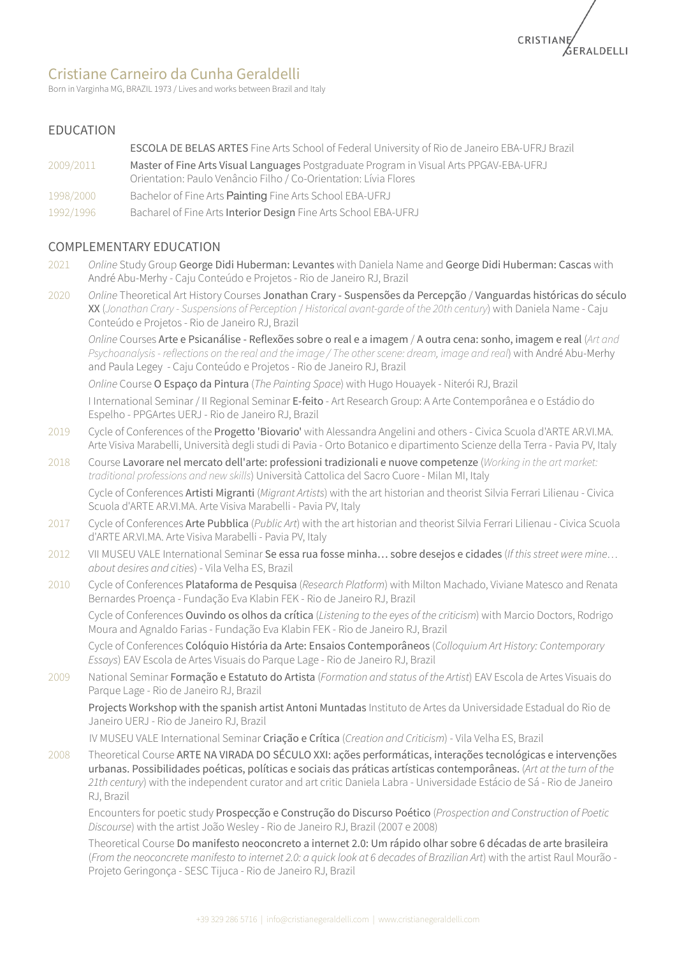

# Cristiane Carneiro da Cunha Geraldelli

Born in Varginha MG, BRAZIL 1973 / Lives and works between Brazil and Italy

## EDUCATION

ESCOLA DE BELAS ARTES Fine Arts School of Federal University of Rio de Janeiro EBA-UFRJ Brazil

- 2009/2011 Master of Fine Arts Visual Languages Postgraduate Program in Visual Arts PPGAV-EBA-UFRJ Orientation: Paulo Venâncio Filho / Co-Orientation: Lívia Flores
- 1998/2000 Bachelor of Fine Arts Painting Fine Arts School EBA-UFRJ
- 1992/1996 Bacharel of Fine Arts Interior Design Fine Arts School EBA-UFRJ

# COMPLEMENTARY EDUCATION

- 2021 *Online* Study Group George Didi Huberman: Levantes with Daniela Name and George Didi Huberman: Cascas with André Abu-Merhy - Caju Conteúdo e Projetos - Rio de Janeiro RJ, Brazil
- 2020 *Online* Theoretical Art History Courses Jonathan Crary Suspensões da Percepção / Vanguardas históricas do século XX (*Jonathan Crary - Suspensions of Perception* / *Historical avant-garde of the 20th century*) with Daniela Name - Caju Conteúdo e Projetos - Rio de Janeiro RJ, Brazil

*Online* Courses Arte e Psicanálise - Reflexões sobre o real e a imagem / A outra cena: sonho, imagem e real (*Art and Psychoanalysis- reflections on the real and the image / The otherscene: dream, image and real*) with André Abu-Merhy and Paula Legey - Caju Conteúdo e Projetos - Rio de Janeiro RJ, Brazil

*Online* Course O Espaço da Pintura (*The Painting Space*) with Hugo Houayek - Niterói RJ, Brazil

I International Seminar / II Regional Seminar E-feito - Art Research Group: A Arte Contemporânea e o Estádio do Espelho - PPGArtes UERJ - Rio de Janeiro RJ, Brazil

- 2019 Cycle of Conferences of the Progetto 'Biovario' with Alessandra Angelini and others Civica Scuola d'ARTE AR.VI.MA. Arte Visiva Marabelli, Università degli studi di Pavia - Orto Botanico e dipartimento Scienze della Terra - Pavia PV, Italy
- 2018 Course Lavorare nel mercato dell'arte: professioni tradizionali e nuove competenze (*Working in the art market: traditional professions and new skills*) Università Cattolica del Sacro Cuore - Milan MI, Italy Cycle of Conferences Artisti Migranti (*Migrant Artists*) with the art historian and theorist Silvia Ferrari Lilienau - Civica Scuola d'ARTE AR.VI.MA. Arte Visiva Marabelli - Pavia PV, Italy
- 2017 Cycle of Conferences Arte Pubblica (*Public Art*) with the art historian and theorist Silvia Ferrari Lilienau Civica Scuola d'ARTE AR.VI.MA. Arte Visiva Marabelli - Pavia PV, Italy
- 2012 VII MUSEU VALE International Seminar Se essa rua fosse minha… sobre desejos e cidades (*If thisstreet were mine… about desires and cities*) - Vila Velha ES, Brazil
- 2010 Cycle of Conferences Plataforma de Pesquisa (*Research Platform*) with Milton Machado, Viviane Matesco and Renata Bernardes Proença - Fundação Eva Klabin FEK - Rio de Janeiro RJ, Brazil

Cycle of Conferences Ouvindo os olhos da crítica (*Listening to the eyes of the criticism*) with Marcio Doctors, Rodrigo Moura and Agnaldo Farias - Fundação Eva Klabin FEK - Rio de Janeiro RJ, Brazil

Cycle of Conferences Colóquio História da Arte: Ensaios Contemporâneos (*Colloquium Art History: Contemporary Essays*) EAV Escola de Artes Visuais do Parque Lage - Rio de Janeiro RJ, Brazil

2009 National Seminar Formação e Estatuto do Artista (*Formation and status of the Artist*) EAV Escola de Artes Visuais do Parque Lage - Rio de Janeiro RJ, Brazil

Projects Workshop with the spanish artist Antoni Muntadas Instituto de Artes da Universidade Estadual do Rio de Janeiro UERJ - Rio de Janeiro RJ, Brazil

IV MUSEU VALE International Seminar Criação e Crítica (*Creation and Criticism*) - Vila Velha ES, Brazil

2008 Theoretical Course ARTE NA VIRADA DO SÉCULO XXI: ações performáticas, interações tecnológicas e intervenções urbanas. Possibilidades poéticas, políticas e sociais das práticas artísticas contemporâneas. (*Art at the turn of the 21th century*) with the independent curator and art critic Daniela Labra - Universidade Estácio de Sá - Rio de Janeiro RJ, Brazil

Encounters for poetic study Prospecção e Construção do Discurso Poético (*Prospection and Construction of Poetic Discourse*) with the artist João Wesley - Rio de Janeiro RJ, Brazil (2007 e 2008)

Theoretical Course Do manifesto neoconcreto a internet 2.0: Um rápido olhar sobre 6 décadas de arte brasileira (From the neoconcrete manifesto to internet 2.0: a quick look at 6 decades of Brazilian Art) with the artist Raul Mourão -Projeto Geringonça - SESC Tijuca - Rio de Janeiro RJ, Brazil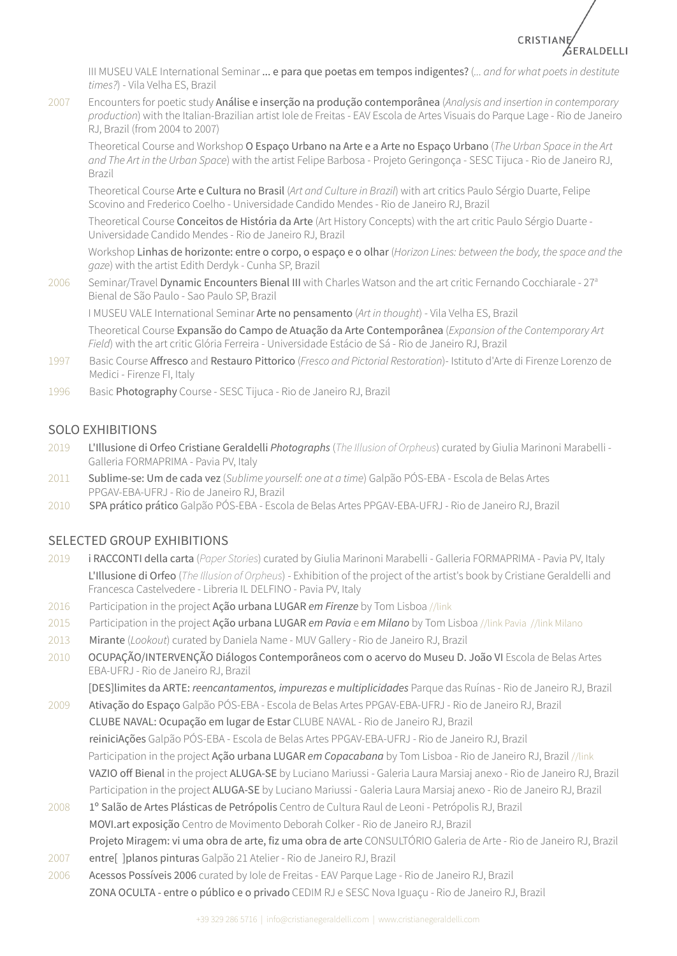

III MUSEU VALE International Seminar ... e para que poetas em tempos indigentes? (*... and for what poetsin destitute times?*) - Vila Velha ES, Brazil

2007 Encounters for poetic study Análise e inserção na produção contemporânea (*Analysis and insertion in contemporary production*) with the Italian-Brazilian artist Iole de Freitas - EAV Escola de Artes Visuais do Parque Lage - Rio de Janeiro RJ, Brazil (from 2004 to 2007)

Theoretical Course and Workshop O Espaço Urbano na Arte e a Arte no Espaço Urbano (*The Urban Space in the Art and The Art in the Urban Space*) with the artist Felipe Barbosa - Projeto Geringonça - SESC Tijuca - Rio de Janeiro RJ, Brazil

Theoretical Course Arte e Cultura no Brasil (*Art and Culture in Brazil*) with art critics Paulo Sérgio Duarte, Felipe Scovino and Frederico Coelho - Universidade Candido Mendes - Rio de Janeiro RJ, Brazil

Theoretical Course Conceitos de História da Arte (Art History Concepts) with the art critic Paulo Sérgio Duarte - Universidade Candido Mendes - Rio de Janeiro RJ, Brazil

Workshop Linhas de horizonte: entre o corpo, o espaço e o olhar (*Horizon Lines: between the body, the space and the gaze*) with the artist Edith Derdyk - Cunha SP, Brazil

2006 Seminar/Travel Dynamic Encounters Bienal III with Charles Watson and the art critic Fernando Cocchiarale - 27<sup>a</sup> Bienal de São Paulo - Sao Paulo SP, Brazil

I MUSEU VALE International Seminar Arte no pensamento (*Art in thought*) - Vila Velha ES, Brazil

Theoretical Course Expansão do Campo de Atuação da Arte Contemporânea (*Expansion of the Contemporary Art Field*) with the art critic Glória Ferreira - Universidade Estácio de Sá - Rio de Janeiro RJ, Brazil

- 1997 Basic Course Affresco and Restauro Pittorico (*Fresco and Pictorial Restoration*)- Istituto d'Arte di Firenze Lorenzo de Medici - Firenze FI, Italy
- 1996 Basic Photography Course SESC Tijuca Rio de Janeiro RJ, Brazil

# SOLO EXHIBITIONS

- 2019 L'Illusione di Orfeo Cristiane Geraldelli *Photographs* (*The Illusion of Orpheus*) curated by Giulia Marinoni Marabelli Galleria FORMAPRIMA - Pavia PV, Italy
- 2011 Sublime-se: Um de cada vez (*Sublime yourself: one at a time*) Galpão PÓS-EBA Escola de Belas Artes PPGAV-EBA-UFRJ - Rio de Janeiro RJ, Brazil
- 2010 SPA prático prático Galpão PÓS-EBA Escola de Belas Artes PPGAV-EBA-UFRJ Rio de Janeiro RJ, Brazil

#### SELECTED GROUP EXHIBITIONS

- 2019 i RACCONTI della carta (*Paper Stories*) curated by Giulia Marinoni Marabelli Galleria FORMAPRIMA Pavia PV, Italy L'Illusione di Orfeo (*The Illusion of Orpheus*) - Exhibition of the project of the artist's book by Cristiane Geraldelli and Francesca Castelvedere - Libreria IL DELFINO - Pavia PV, Italy
- 2016 Participation in the project Ação urbana LUGAR *em Firenze* by Tom Lisboa [//link](https://www.instagram.com/p/BLZnlFnAS5-/)
- 2015 Participation in the project Ação urbana LUGAR *em Pavia* e *em Milano* by Tom Lisboa [//link](https://www.instagram.com/p/_H7RCuJrDE/) Pavia //link [Milano](https://www.instagram.com/p/_H77qpJrEP/)
- 2013 Mirante (*Lookout*) curated by Daniela Name MUV Gallery Rio de Janeiro RJ, Brazil
- 2010 OCUPAÇÃO/INTERVENÇÃO Diálogos Contemporâneos com o acervo do Museu D. João VI Escola de Belas Artes EBA-UFRJ - Rio de Janeiro RJ, Brazil

[DES]limites da ARTE: *reencantamentos, impurezas e multiplicidades* Parque das Ruínas - Rio de Janeiro RJ, Brazil

- 2009 Ativação do Espaço Galpão PÓS-EBA Escola de Belas Artes PPGAV-EBA-UFRJ Rio de Janeiro RJ, Brazil CLUBE NAVAL: Ocupação em lugar de Estar CLUBE NAVAL - Rio de Janeiro RJ, Brazil reiniciAções Galpão PÓS-EBA - Escola de Belas Artes PPGAV-EBA-UFRJ - Rio de Janeiro RJ, Brazil Participation in the project Ação urbana LUGAR *em Copacabana* by Tom Lisboa - Rio de Janeiro RJ, Brazil [//link](https://www.sintomnizado.com.br/lugarrio.htm) VAZIO off Bienal in the project ALUGA-SE by Luciano Mariussi - Galeria Laura Marsiaj anexo - Rio de Janeiro RJ, Brazil Participation in the project ALUGA-SE by Luciano Mariussi - Galeria Laura Marsiaj anexo - Rio de Janeiro RJ, Brazil
- 2008 1º Salão de Artes Plásticas de Petrópolis Centro de Cultura Raul de Leoni Petrópolis RJ, Brazil MOVI.art exposição Centro de Movimento Deborah Colker - Rio de Janeiro RJ, Brazil Projeto Miragem: vi uma obra de arte, fiz uma obra de arte CONSULTÓRIO Galeria de Arte - Rio de Janeiro RJ, Brazil
- 2007 entre[ ]planos pinturas Galpão 21 Atelier Rio de Janeiro RJ, Brazil
- 2006 Acessos Possíveis 2006 curated by Iole de Freitas EAV Parque Lage Rio de Janeiro RJ, Brazil ZONA OCULTA - entre o público e o privado CEDIM RJ e SESC Nova Iguaçu - Rio de Janeiro RJ, Brazil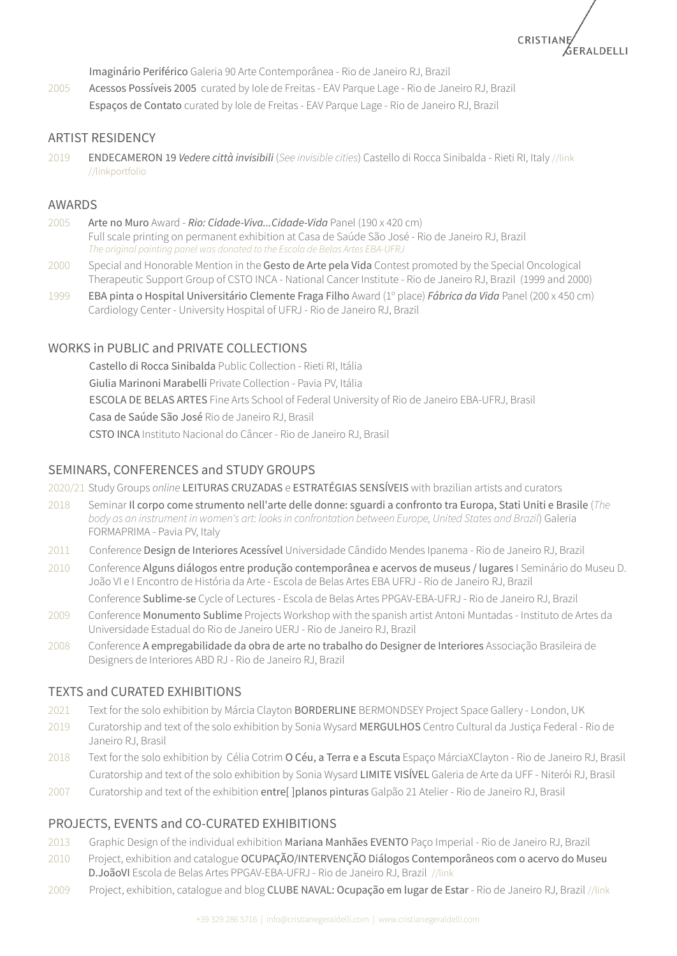CRISTIANE SERALDELLI

Imaginário Periférico Galeria 90 Arte Contemporânea - Rio de Janeiro RJ, Brazil

2005 Acessos Possíveis 2005 curated by Iole de Freitas - EAV Parque Lage - Rio de Janeiro RJ, Brazil Espaços de Contato curated by Iole de Freitas - EAV Parque Lage - Rio de Janeiro RJ, Brazil

#### ARTIST RESIDENCY

2019 ENDECAMERON 19 *Vedere città invisibili* (*See invisible cities*) Castello di Rocca Sinibalda - Rieti RI, Italy [//link](http://www.castelloroccasinibalda.it/progetti/endecameron2019/) [//linkportfolio](https://www.cristianegeraldelli.com/2021/05/18/endecameron19/)

#### AWARDS

- 2005 Arte no Muro Award *Rio: Cidade-Viva...Cidade-Vida* Panel (190 x 420 cm) Full scale printing on permanent exhibition at Casa de Saúde São José - Rio de Janeiro RJ, Brazil *The original painting panel was donated to the Escola de Belas Artes EBA-UFRJ*
- 2000 Special and Honorable Mention in the Gesto de Arte pela Vida Contest promoted by the Special Oncological Therapeutic Support Group of CSTO INCA - National Cancer Institute - Rio de Janeiro RJ, Brazil (1999 and 2000)
- 1999 EBA pinta o Hospital Universitário Clemente Fraga Filho Award (1º place) *Fábrica da Vida* Panel (200 x 450 cm) Cardiology Center - University Hospital of UFRJ - Rio de Janeiro RJ, Brazil

#### WORKS in PUBLIC and PRIVATE COLLECTIONS

Castello di Rocca Sinibalda Public Collection - Rieti RI, Itália Giulia Marinoni Marabelli Private Collection - Pavia PV, Itália ESCOLA DE BELAS ARTES Fine Arts School of Federal University of Rio de Janeiro EBA-UFRJ, Brasil Casa de Saúde São José Rio de Janeiro RJ, Brasil CSTO INCA Instituto Nacional do Câncer - Rio de Janeiro RJ, Brasil

## SEMINARS, CONFERENCES and STUDY GROUPS

- 2020/21 Study Groups *online* LEITURAS CRUZADAS e ESTRATÉGIAS SENSÍVEIS with brazilian artists and curators
- 2018 Seminar Il corpo come strumento nell'arte delle donne: sguardi a confronto tra Europa, Stati Uniti e Brasile (*The body as an instrument in women's art: looksin confrontation between Europe, United States and Brazil*) Galeria FORMAPRIMA - Pavia PV, Italy
- 2011 Conference Design de Interiores Acessível Universidade Cândido Mendes Ipanema Rio de Janeiro RJ, Brazil
- 2010 Conference Alguns diálogos entre produção contemporânea e acervos de museus / lugares I Seminário do Museu D. João VI e I Encontro de História da Arte - Escola de Belas Artes EBA UFRJ - Rio de Janeiro RJ, Brazil

Conference Sublime-se Cycle of Lectures - Escola de Belas Artes PPGAV-EBA-UFRJ - Rio de Janeiro RJ, Brazil

- 2009 Conference Monumento Sublime Projects Workshop with the spanish artist Antoni Muntadas Instituto de Artes da Universidade Estadual do Rio de Janeiro UERJ - Rio de Janeiro RJ, Brazil
- 2008 Conference A empregabilidade da obra de arte no trabalho do Designer de Interiores Associação Brasileira de Designers de Interiores ABD RJ - Rio de Janeiro RJ, Brazil

#### TEXTS and CURATED EXHIBITIONS

- 2021 Text for the solo exhibition by Márcia Clayton BORDERLINE BERMONDSEY Project Space Gallery London, UK
- 2019 Curatorship and text of the solo exhibition by Sonia Wysard MERGULHOS Centro Cultural da Justiça Federal Rio de Janeiro RJ, Brasil
- 2018 Text for the solo exhibition by Célia Cotrim O Céu, a Terra e a Escuta Espaço MárciaXClayton Rio de Janeiro RJ, Brasil Curatorship and text of the solo exhibition by Sonia Wysard LIMITE VISÍVEL Galeria de Arte da UFF - Niterói RJ, Brasil
- 2007 Curatorship and text of the exhibition entre[ ]planos pinturas Galpão 21 Atelier Rio de Janeiro RJ, Brasil

# PROJECTS, EVENTS and CO-CURATED EXHIBITIONS

- 2013 Graphic Design of the individual exhibition Mariana Manhães EVENTO Paço Imperial Rio de Janeiro RJ, Brazil
- 2010 Project, exhibition and catalogue OCUPAÇÃO/INTERVENÇÃO Diálogos Contemporâneos com o acervo do Museu D.JoãoVI Escola de Belas Artes PPGAV-EBA-UFRJ - Rio de Janeiro RJ, Brazil [//link](http://www.issuu.com/cristianegeraldelli/docs/impresso_museu_web)
- 2009 Project, exhibition, catalogue and blog CLUBE NAVAL: Ocupação em lugar de Estar Rio de Janeiro RJ, Brazil [//link](http://www.ateterritoriodeartistas.blogspot.it/)